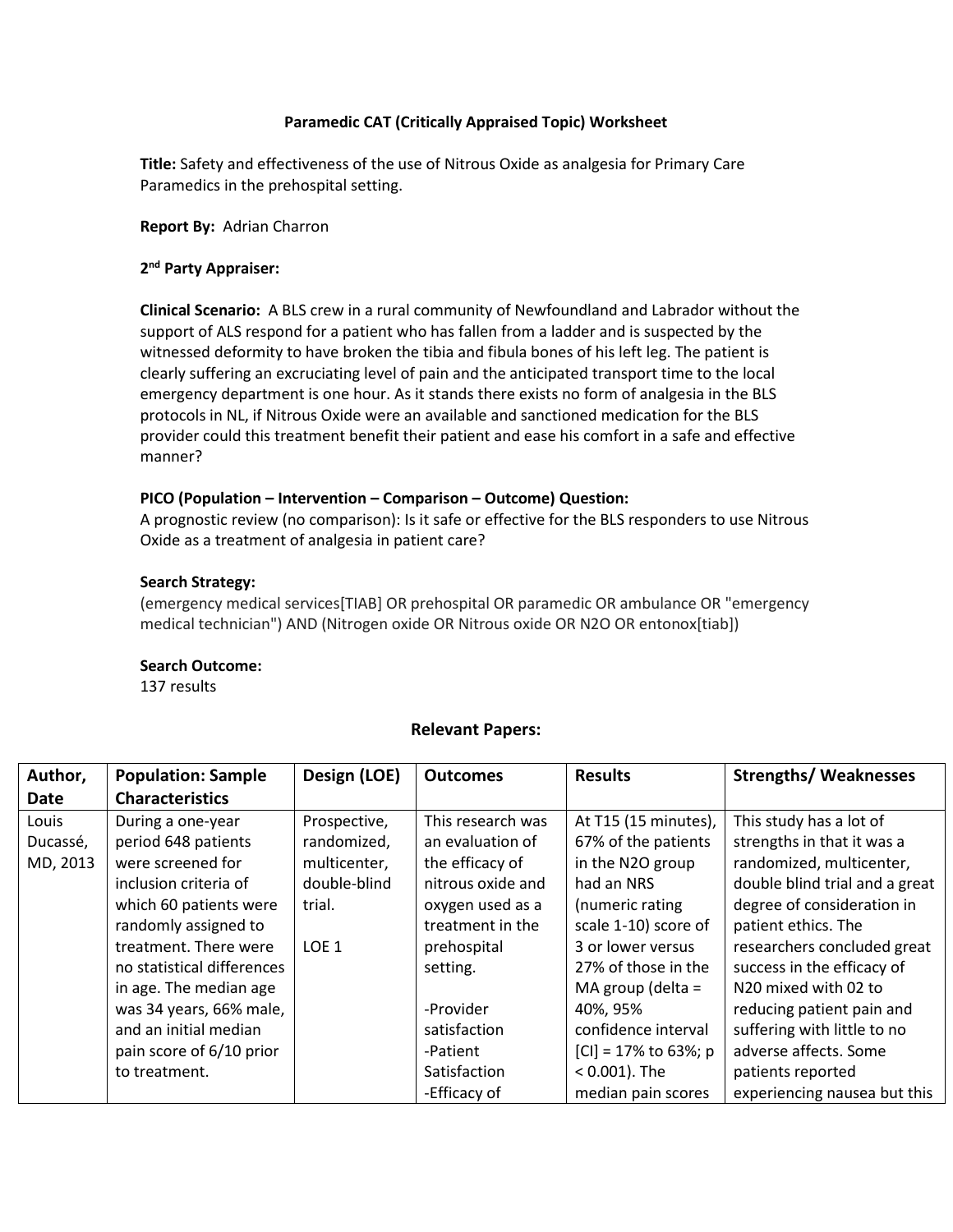# **Paramedic CAT (Critically Appraised Topic) Worksheet**

**Title:** Safety and effectiveness of the use of Nitrous Oxide as analgesia for Primary Care Paramedics in the prehospital setting.

**Report By:** Adrian Charron

## **2 nd Party Appraiser:**

**Clinical Scenario:** A BLS crew in a rural community of Newfoundland and Labrador without the support of ALS respond for a patient who has fallen from a ladder and is suspected by the witnessed deformity to have broken the tibia and fibula bones of his left leg. The patient is clearly suffering an excruciating level of pain and the anticipated transport time to the local emergency department is one hour. As it stands there exists no form of analgesia in the BLS protocols in NL, if Nitrous Oxide were an available and sanctioned medication for the BLS provider could this treatment benefit their patient and ease his comfort in a safe and effective manner?

#### **PICO (Population – Intervention – Comparison – Outcome) Question:**

A prognostic review (no comparison): Is it safe or effective for the BLS responders to use Nitrous Oxide as a treatment of analgesia in patient care?

## **Search Strategy:**

(emergency medical services[TIAB] OR prehospital OR paramedic OR ambulance OR "emergency medical technician") AND (Nitrogen oxide OR Nitrous oxide OR N2O OR entonox[tiab])

## **Search Outcome:**

137 results

## **Relevant Papers:**

| Author,  | <b>Population: Sample</b>  | Design (LOE)     | <b>Outcomes</b>   | <b>Results</b>          | <b>Strengths/ Weaknesses</b>   |
|----------|----------------------------|------------------|-------------------|-------------------------|--------------------------------|
| Date     | <b>Characteristics</b>     |                  |                   |                         |                                |
| Louis    | During a one-year          | Prospective,     | This research was | At T15 (15 minutes),    | This study has a lot of        |
| Ducassé, | period 648 patients        | randomized,      | an evaluation of  | 67% of the patients     | strengths in that it was a     |
| MD, 2013 | were screened for          | multicenter,     | the efficacy of   | in the N2O group        | randomized, multicenter,       |
|          | inclusion criteria of      | double-blind     | nitrous oxide and | had an NRS              | double blind trial and a great |
|          | which 60 patients were     | trial.           | oxygen used as a  | (numeric rating         | degree of consideration in     |
|          | randomly assigned to       |                  | treatment in the  | scale 1-10) score of    | patient ethics. The            |
|          | treatment. There were      | LOE <sub>1</sub> | prehospital       | 3 or lower versus       | researchers concluded great    |
|          | no statistical differences |                  | setting.          | 27% of those in the     | success in the efficacy of     |
|          | in age. The median age     |                  |                   | MA group (delta =       | N20 mixed with 02 to           |
|          | was 34 years, 66% male,    |                  | -Provider         | 40%, 95%                | reducing patient pain and      |
|          | and an initial median      |                  | satisfaction      | confidence interval     | suffering with little to no    |
|          | pain score of 6/10 prior   |                  | -Patient          | $ CI  = 17\%$ to 63%; p | adverse affects. Some          |
|          | to treatment.              |                  | Satisfaction      | $< 0.001$ ). The        | patients reported              |
|          |                            |                  | -Efficacy of      | median pain scores      | experiencing nausea but this   |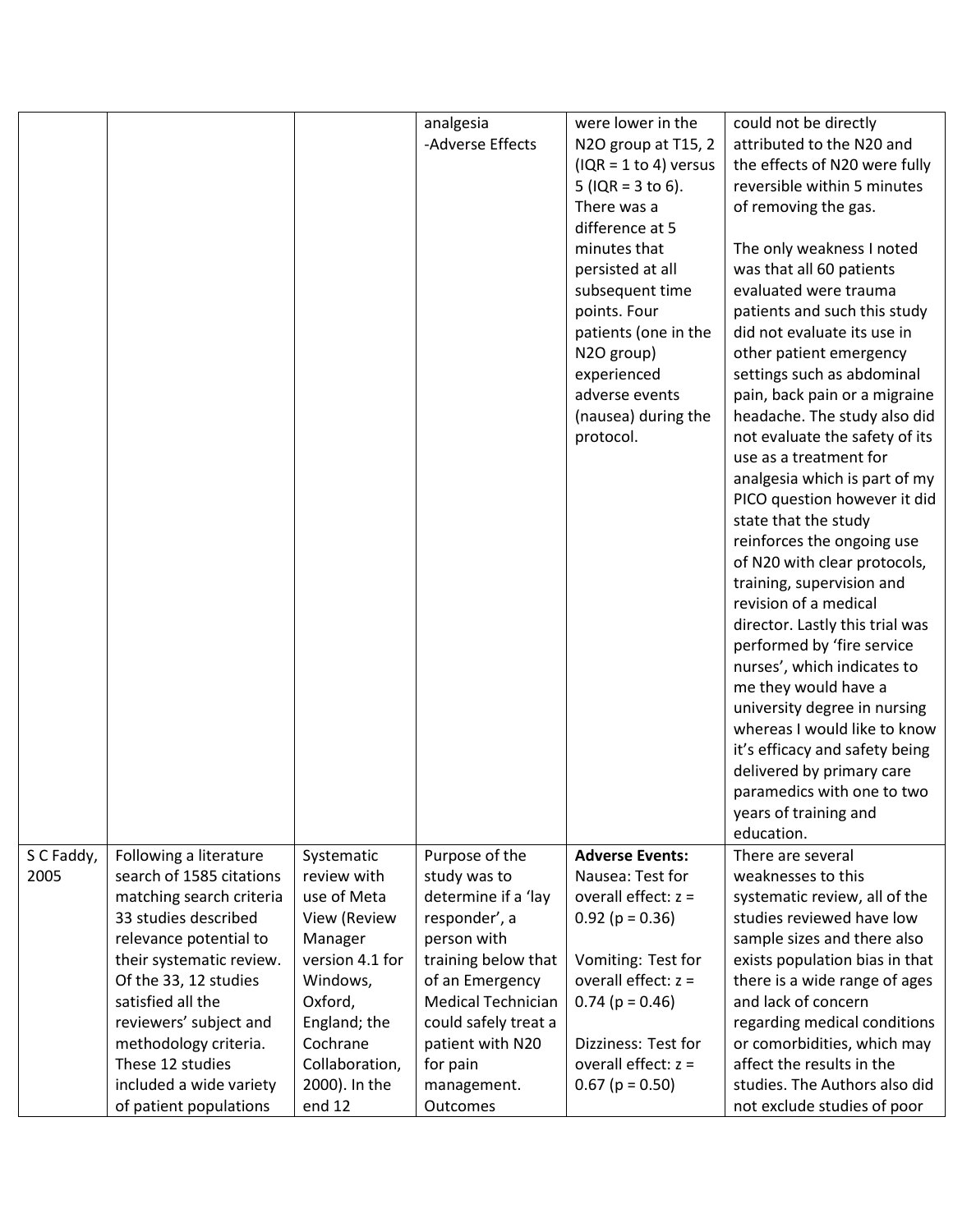|                    |                                                    |                            | analgesia<br>-Adverse Effects  | were lower in the<br>N2O group at T15, 2<br>$( IQR = 1 to 4)$ versus<br>5 ( $IQR = 3$ to 6).<br>There was a<br>difference at 5<br>minutes that<br>persisted at all<br>subsequent time<br>points. Four<br>patients (one in the<br>N2O group)<br>experienced<br>adverse events<br>(nausea) during the<br>protocol. | could not be directly<br>attributed to the N20 and<br>the effects of N20 were fully<br>reversible within 5 minutes<br>of removing the gas.<br>The only weakness I noted<br>was that all 60 patients<br>evaluated were trauma<br>patients and such this study<br>did not evaluate its use in<br>other patient emergency<br>settings such as abdominal<br>pain, back pain or a migraine<br>headache. The study also did<br>not evaluate the safety of its<br>use as a treatment for<br>analgesia which is part of my<br>PICO question however it did<br>state that the study<br>reinforces the ongoing use<br>of N20 with clear protocols,<br>training, supervision and<br>revision of a medical<br>director. Lastly this trial was<br>performed by 'fire service<br>nurses', which indicates to<br>me they would have a<br>university degree in nursing<br>whereas I would like to know<br>it's efficacy and safety being<br>delivered by primary care<br>paramedics with one to two<br>years of training and<br>education. |
|--------------------|----------------------------------------------------|----------------------------|--------------------------------|------------------------------------------------------------------------------------------------------------------------------------------------------------------------------------------------------------------------------------------------------------------------------------------------------------------|----------------------------------------------------------------------------------------------------------------------------------------------------------------------------------------------------------------------------------------------------------------------------------------------------------------------------------------------------------------------------------------------------------------------------------------------------------------------------------------------------------------------------------------------------------------------------------------------------------------------------------------------------------------------------------------------------------------------------------------------------------------------------------------------------------------------------------------------------------------------------------------------------------------------------------------------------------------------------------------------------------------------------|
| S C Faddy,<br>2005 | Following a literature<br>search of 1585 citations | Systematic<br>review with  | Purpose of the<br>study was to | <b>Adverse Events:</b><br>Nausea: Test for                                                                                                                                                                                                                                                                       | There are several<br>weaknesses to this                                                                                                                                                                                                                                                                                                                                                                                                                                                                                                                                                                                                                                                                                                                                                                                                                                                                                                                                                                                    |
|                    | matching search criteria                           | use of Meta                | determine if a 'lay            | overall effect: $z =$                                                                                                                                                                                                                                                                                            | systematic review, all of the                                                                                                                                                                                                                                                                                                                                                                                                                                                                                                                                                                                                                                                                                                                                                                                                                                                                                                                                                                                              |
|                    | 33 studies described<br>relevance potential to     | View (Review<br>Manager    | responder', a<br>person with   | $0.92$ (p = 0.36)                                                                                                                                                                                                                                                                                                | studies reviewed have low<br>sample sizes and there also                                                                                                                                                                                                                                                                                                                                                                                                                                                                                                                                                                                                                                                                                                                                                                                                                                                                                                                                                                   |
|                    | their systematic review.                           | version 4.1 for            | training below that            | Vomiting: Test for                                                                                                                                                                                                                                                                                               | exists population bias in that                                                                                                                                                                                                                                                                                                                                                                                                                                                                                                                                                                                                                                                                                                                                                                                                                                                                                                                                                                                             |
|                    | Of the 33, 12 studies                              | Windows,                   | of an Emergency                | overall effect: $z =$                                                                                                                                                                                                                                                                                            | there is a wide range of ages                                                                                                                                                                                                                                                                                                                                                                                                                                                                                                                                                                                                                                                                                                                                                                                                                                                                                                                                                                                              |
|                    | satisfied all the                                  | Oxford,                    | <b>Medical Technician</b>      | $0.74$ (p = 0.46)                                                                                                                                                                                                                                                                                                | and lack of concern                                                                                                                                                                                                                                                                                                                                                                                                                                                                                                                                                                                                                                                                                                                                                                                                                                                                                                                                                                                                        |
|                    | reviewers' subject and                             | England; the               | could safely treat a           |                                                                                                                                                                                                                                                                                                                  | regarding medical conditions                                                                                                                                                                                                                                                                                                                                                                                                                                                                                                                                                                                                                                                                                                                                                                                                                                                                                                                                                                                               |
|                    | methodology criteria.<br>These 12 studies          | Cochrane<br>Collaboration, | patient with N20<br>for pain   | Dizziness: Test for<br>overall effect: $z =$                                                                                                                                                                                                                                                                     | or comorbidities, which may<br>affect the results in the                                                                                                                                                                                                                                                                                                                                                                                                                                                                                                                                                                                                                                                                                                                                                                                                                                                                                                                                                                   |
|                    | included a wide variety                            | 2000). In the              | management.                    | $0.67$ (p = 0.50)                                                                                                                                                                                                                                                                                                | studies. The Authors also did                                                                                                                                                                                                                                                                                                                                                                                                                                                                                                                                                                                                                                                                                                                                                                                                                                                                                                                                                                                              |
|                    | of patient populations                             | end 12                     | Outcomes                       |                                                                                                                                                                                                                                                                                                                  | not exclude studies of poor                                                                                                                                                                                                                                                                                                                                                                                                                                                                                                                                                                                                                                                                                                                                                                                                                                                                                                                                                                                                |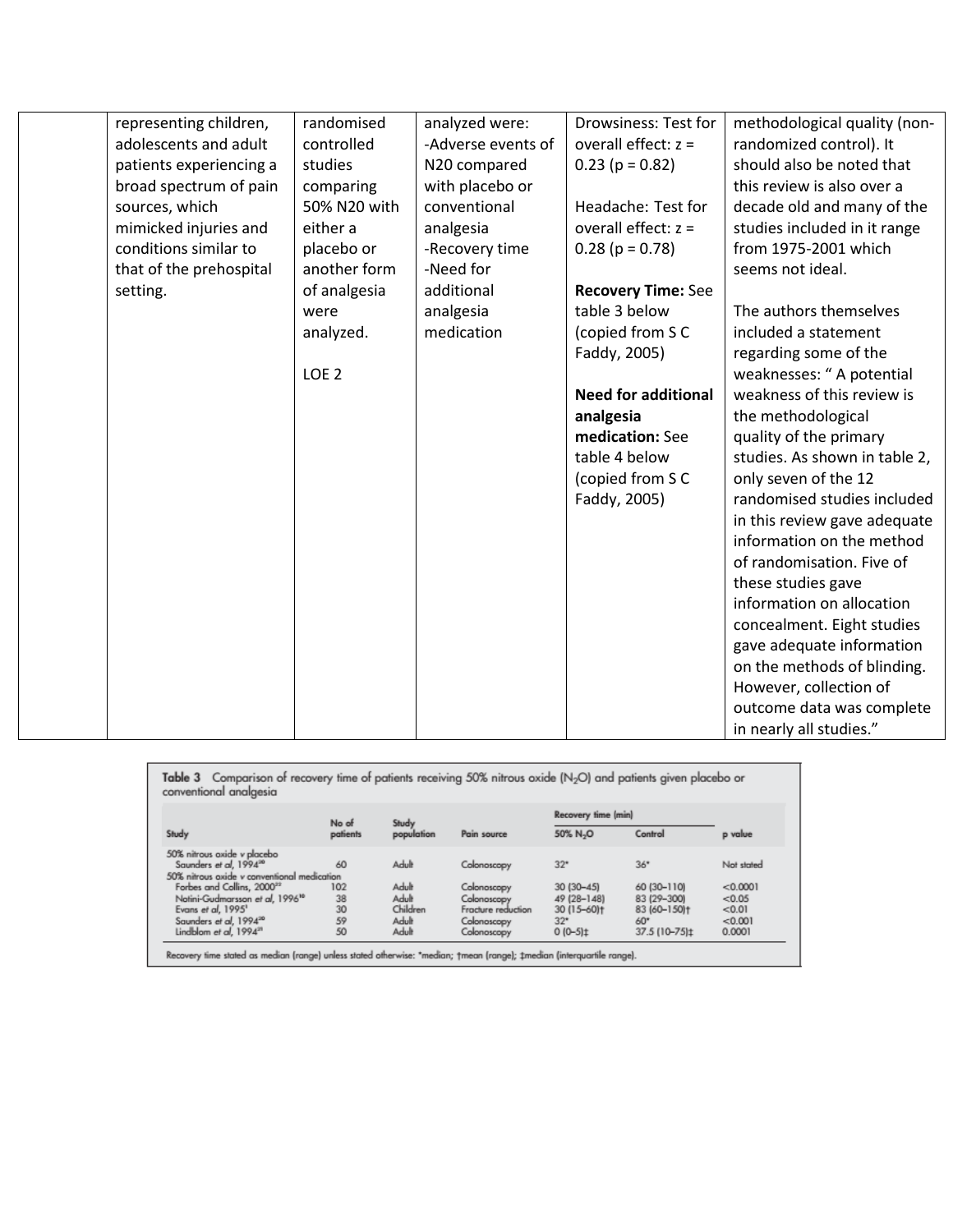| representing children,  | randomised       | analyzed were:     | Drowsiness: Test for       | methodological quality (non-  |
|-------------------------|------------------|--------------------|----------------------------|-------------------------------|
| adolescents and adult   | controlled       | -Adverse events of | overall effect: $z =$      | randomized control). It       |
| patients experiencing a | studies          | N20 compared       | $0.23$ (p = 0.82)          | should also be noted that     |
| broad spectrum of pain  | comparing        | with placebo or    |                            | this review is also over a    |
| sources, which          | 50% N20 with     | conventional       | Headache: Test for         | decade old and many of the    |
| mimicked injuries and   | either a         | analgesia          | overall effect: $z =$      | studies included in it range  |
| conditions similar to   | placebo or       | -Recovery time     | $0.28$ (p = 0.78)          | from 1975-2001 which          |
| that of the prehospital | another form     | -Need for          |                            | seems not ideal.              |
| setting.                | of analgesia     | additional         | <b>Recovery Time: See</b>  |                               |
|                         | were             | analgesia          | table 3 below              | The authors themselves        |
|                         | analyzed.        | medication         | (copied from SC            | included a statement          |
|                         |                  |                    | Faddy, 2005)               | regarding some of the         |
|                         | LOE <sub>2</sub> |                    |                            | weaknesses: "A potential      |
|                         |                  |                    | <b>Need for additional</b> | weakness of this review is    |
|                         |                  |                    | analgesia                  | the methodological            |
|                         |                  |                    | medication: See            | quality of the primary        |
|                         |                  |                    | table 4 below              | studies. As shown in table 2, |
|                         |                  |                    | (copied from SC            | only seven of the 12          |
|                         |                  |                    | Faddy, 2005)               | randomised studies included   |
|                         |                  |                    |                            | in this review gave adequate  |
|                         |                  |                    |                            | information on the method     |
|                         |                  |                    |                            | of randomisation. Five of     |
|                         |                  |                    |                            | these studies gave            |
|                         |                  |                    |                            | information on allocation     |
|                         |                  |                    |                            | concealment. Eight studies    |
|                         |                  |                    |                            | gave adequate information     |
|                         |                  |                    |                            | on the methods of blinding.   |
|                         |                  |                    |                            | However, collection of        |
|                         |                  |                    |                            | outcome data was complete     |
|                         |                  |                    |                            | in nearly all studies."       |
|                         |                  |                    |                            |                               |

|                        |  | Table 3 Comparison of recovery time of patients receiving 50% nitrous oxide (N <sub>2</sub> O) and patients given placebo or |  |
|------------------------|--|------------------------------------------------------------------------------------------------------------------------------|--|
| conventional analaesia |  |                                                                                                                              |  |
|                        |  | Recovery time (min)                                                                                                          |  |

|                                                                   | No of<br>patients | Study<br>population | Pain source        | Recovery time (min)   |               |            |
|-------------------------------------------------------------------|-------------------|---------------------|--------------------|-----------------------|---------------|------------|
| Study                                                             |                   |                     |                    | 50% N <sub>2</sub> O  | Control       | p value    |
| 50% nitrous oxide y placebo<br>Saunders et al. 1994 <sup>20</sup> | 60                | Adult               | Colonoscopy        | $32*$                 | 36"           | Not stated |
| 50% nitrous oxide y conventional medication                       |                   |                     |                    |                       |               |            |
| Forbes and Collins, 2000 <sup>22</sup>                            | 102               | Adult               | Colonoscopy        | 30 (30-45)            | 60 (30-110)   | < 0.0001   |
| Notini-Gudmarsson et al, 1996 <sup>10</sup>                       | 38                | Adult               | Colonoscopy        | 49 (28-148)           | 83 (29-300)   | < 0.05     |
| Evans et al, 1995 <sup>1</sup>                                    | 30                | Children            | Fracture reduction | 30 (15-60)+           | 83 (60-150)+  | < 0.01     |
| Saunders et al. 1994 <sup>20</sup>                                | 59                | Adult               | Colonoscopy        | $32*$                 | 60*           | < 0.001    |
| Lindblom et al. 1994 <sup>21</sup>                                | 50                | Adult               | Colonoscopy        | $0(0-5)$ <sup>±</sup> | 37.5 (10-75)± | 0.0001     |